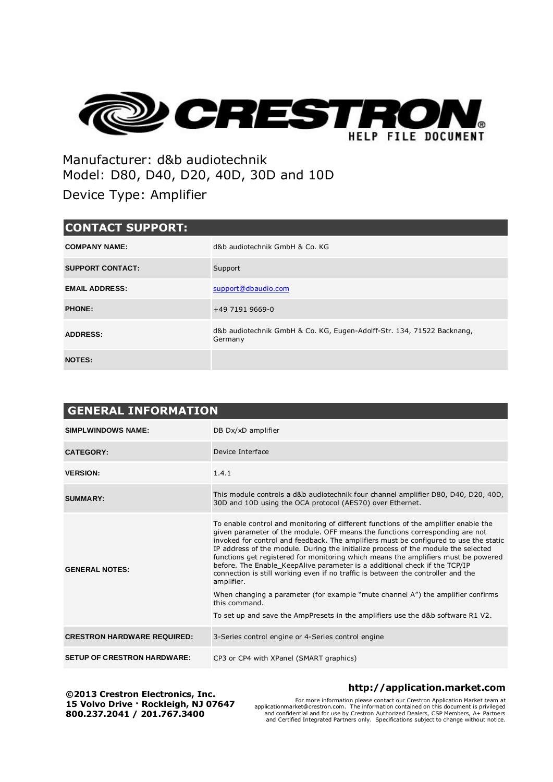

Manufacturer: d&b audiotechnik Model: D80, D40, D20, 40D, 30D and 10D Device Type: Amplifier

| <b>CONTACT SUPPORT:</b> |                                                                                   |  |  |  |
|-------------------------|-----------------------------------------------------------------------------------|--|--|--|
| <b>COMPANY NAME:</b>    | d&b audiotechnik GmbH & Co. KG                                                    |  |  |  |
| <b>SUPPORT CONTACT:</b> | Support                                                                           |  |  |  |
| <b>EMAIL ADDRESS:</b>   | support@dbaudio.com                                                               |  |  |  |
| <b>PHONE:</b>           | +49 7191 9669-0                                                                   |  |  |  |
| <b>ADDRESS:</b>         | d&b audiotechnik GmbH & Co. KG, Eugen-Adolff-Str. 134, 71522 Backnang,<br>Germany |  |  |  |
| <b>NOTES:</b>           |                                                                                   |  |  |  |

| <b>GENERAL INFORMATION</b>         |                                                                                                                                                                                                                                                                                                                                                                                                                                                                                                                                                                                                                                                                                                                                                                                                                 |  |
|------------------------------------|-----------------------------------------------------------------------------------------------------------------------------------------------------------------------------------------------------------------------------------------------------------------------------------------------------------------------------------------------------------------------------------------------------------------------------------------------------------------------------------------------------------------------------------------------------------------------------------------------------------------------------------------------------------------------------------------------------------------------------------------------------------------------------------------------------------------|--|
| <b>SIMPLWINDOWS NAME:</b>          | DB Dx/xD amplifier                                                                                                                                                                                                                                                                                                                                                                                                                                                                                                                                                                                                                                                                                                                                                                                              |  |
| <b>CATEGORY:</b>                   | Device Interface                                                                                                                                                                                                                                                                                                                                                                                                                                                                                                                                                                                                                                                                                                                                                                                                |  |
| <b>VERSION:</b>                    | 1.4.1                                                                                                                                                                                                                                                                                                                                                                                                                                                                                                                                                                                                                                                                                                                                                                                                           |  |
| <b>SUMMARY:</b>                    | This module controls a d&b audiotechnik four channel amplifier D80, D40, D20, 40D,<br>30D and 10D using the OCA protocol (AES70) over Ethernet.                                                                                                                                                                                                                                                                                                                                                                                                                                                                                                                                                                                                                                                                 |  |
| <b>GENERAL NOTES:</b>              | To enable control and monitoring of different functions of the amplifier enable the<br>given parameter of the module. OFF means the functions corresponding are not<br>invoked for control and feedback. The amplifiers must be configured to use the static<br>IP address of the module. During the initialize process of the module the selected<br>functions get registered for monitoring which means the amplifiers must be powered<br>before. The Enable KeepAlive parameter is a additional check if the TCP/IP<br>connection is still working even if no traffic is between the controller and the<br>amplifier.<br>When changing a parameter (for example "mute channel A") the amplifier confirms<br>this command.<br>To set up and save the AmpPresets in the amplifiers use the d&b software R1 V2. |  |
| <b>CRESTRON HARDWARE REQUIRED:</b> | 3-Series control engine or 4-Series control engine                                                                                                                                                                                                                                                                                                                                                                                                                                                                                                                                                                                                                                                                                                                                                              |  |
| <b>SETUP OF CRESTRON HARDWARE:</b> | CP3 or CP4 with XPanel (SMART graphics)                                                                                                                                                                                                                                                                                                                                                                                                                                                                                                                                                                                                                                                                                                                                                                         |  |

**©2013 Crestron Electronics, Inc. 15 Volvo Drive · Rockleigh, NJ 07647 800.237.2041 / 201.767.3400**

**http://application.market.com**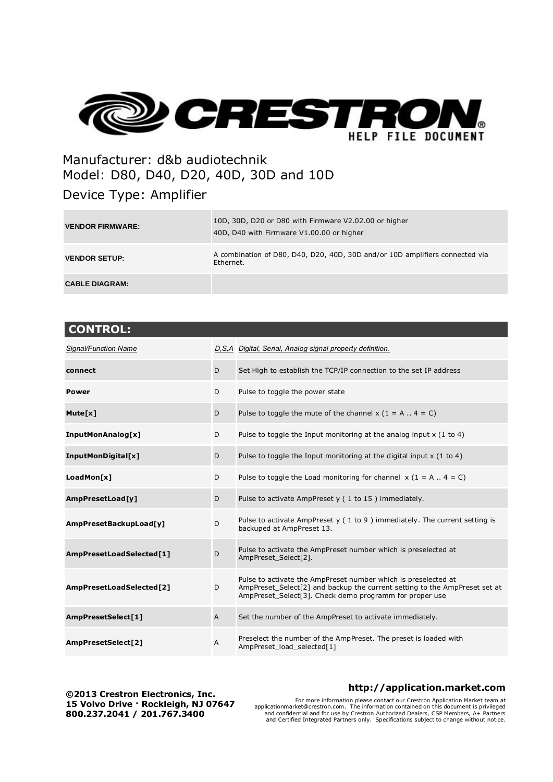

# Manufacturer: d&b audiotechnik Model: D80, D40, D20, 40D, 30D and 10D

## Device Type: Amplifier

| <b>VENDOR FIRMWARE:</b> | 10D, 30D, D20 or D80 with Firmware V2.02.00 or higher<br>40D, D40 with Firmware V1.00.00 or higher |
|-------------------------|----------------------------------------------------------------------------------------------------|
| <b>VENDOR SETUP:</b>    | A combination of D80, D40, D20, 40D, 30D and/or 10D amplifiers connected via<br>Ethernet.          |
| <b>CABLE DIAGRAM:</b>   |                                                                                                    |

| <b>CONTROL:</b>          |              |                                                                                                                                                                                                         |
|--------------------------|--------------|---------------------------------------------------------------------------------------------------------------------------------------------------------------------------------------------------------|
| Signal/Function Name     |              | D, S, A Digital, Serial, Analog signal property definition.                                                                                                                                             |
| connect                  | D            | Set High to establish the TCP/IP connection to the set IP address                                                                                                                                       |
| Power                    | D            | Pulse to toggle the power state                                                                                                                                                                         |
| Mute[x]                  | D            | Pulse to toggle the mute of the channel $x (1 = A \dots 4 = C)$                                                                                                                                         |
| InputMonAnalog[x]        | D            | Pulse to toggle the Input monitoring at the analog input $x$ (1 to 4)                                                                                                                                   |
| InputMonDigital[x]       | D            | Pulse to toggle the Input monitoring at the digital input $x$ (1 to 4)                                                                                                                                  |
| LoadMon[x]               | D            | Pulse to toggle the Load monitoring for channel $x (1 = A \dots 4 = C)$                                                                                                                                 |
| AmpPresetLoad[y]         | D            | Pulse to activate AmpPreset y (1 to 15) immediately.                                                                                                                                                    |
| AmpPresetBackupLoad[y]   | D            | Pulse to activate AmpPreset $y(1 to 9)$ immediately. The current setting is<br>backuped at AmpPreset 13.                                                                                                |
| AmpPresetLoadSelected[1] | D            | Pulse to activate the AmpPreset number which is preselected at<br>AmpPreset_Select[2].                                                                                                                  |
| AmpPresetLoadSelected[2] | D            | Pulse to activate the AmpPreset number which is preselected at<br>AmpPreset_Select[2] and backup the current setting to the AmpPreset set at<br>AmpPreset_Select[3]. Check demo programm for proper use |
| AmpPresetSelect[1]       | $\mathsf{A}$ | Set the number of the AmpPreset to activate immediately.                                                                                                                                                |
| AmpPresetSelect[2]       | A            | Preselect the number of the AmpPreset. The preset is loaded with<br>AmpPreset_load_selected[1]                                                                                                          |

**©2013 Crestron Electronics, Inc. 15 Volvo Drive · Rockleigh, NJ 07647 800.237.2041 / 201.767.3400**

### **http://application.market.com**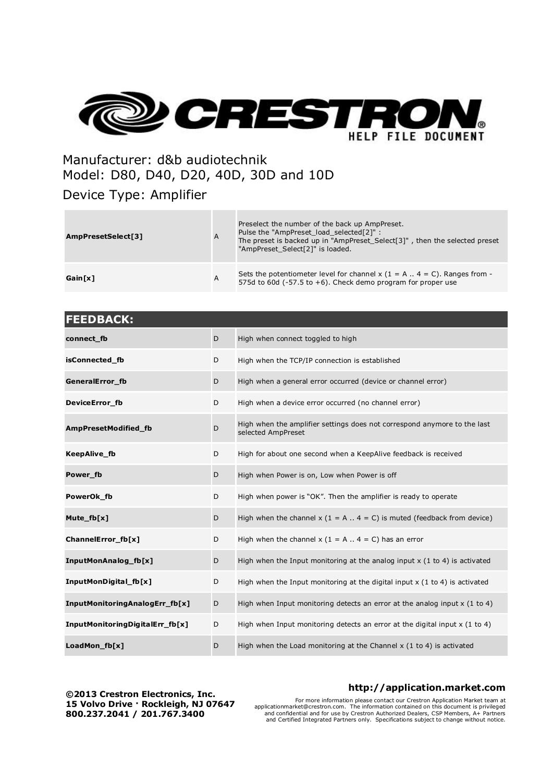

## Manufacturer: d&b audiotechnik Model: D80, D40, D20, 40D, 30D and 10D

### Device Type: Amplifier

| AmpPresetSelect[3] | $\overline{A}$ | Preselect the number of the back up AmpPreset.<br>Pulse the "AmpPreset load selected[2]" :<br>The preset is backed up in "AmpPreset Select[3]", then the selected preset<br>"AmpPreset_Select[2]" is loaded. |
|--------------------|----------------|--------------------------------------------------------------------------------------------------------------------------------------------------------------------------------------------------------------|
| Gain[x]            | A              | Sets the potentiometer level for channel $x$ (1 = A $\ldots$ 4 = C). Ranges from -<br>575d to 60d ( $-57.5$ to $+6$ ). Check demo program for proper use                                                     |

| <b>FEEDBACK:</b>                |   |                                                                                                |
|---------------------------------|---|------------------------------------------------------------------------------------------------|
| connect_fb                      | D | High when connect toggled to high                                                              |
| isConnected_fb                  | D | High when the TCP/IP connection is established                                                 |
| GeneralError_fb                 | D | High when a general error occurred (device or channel error)                                   |
| DeviceError_fb                  | D | High when a device error occurred (no channel error)                                           |
| AmpPresetModified_fb            | D | High when the amplifier settings does not correspond anymore to the last<br>selected AmpPreset |
| <b>KeepAlive fb</b>             | D | High for about one second when a KeepAlive feedback is received                                |
| Power fb                        | D | High when Power is on, Low when Power is off                                                   |
| PowerOk_fb                      | D | High when power is "OK". Then the amplifier is ready to operate                                |
| Mute_fb[x]                      | D | High when the channel $x$ (1 = A $\ldots$ 4 = C) is muted (feedback from device)               |
| ChannelError_fb[x]              | D | High when the channel $x (1 = A  4 = C)$ has an error                                          |
| InputMonAnalog_fb[x]            | D | High when the Input monitoring at the analog input $x$ (1 to 4) is activated                   |
| InputMonDigital_fb[x]           | D | High when the Input monitoring at the digital input $x$ (1 to 4) is activated                  |
| InputMonitoringAnalogErr_fb[x]  | D | High when Input monitoring detects an error at the analog input $x$ (1 to 4)                   |
| InputMonitoringDigitalErr_fb[x] | D | High when Input monitoring detects an error at the digital input $x$ (1 to 4)                  |
| LoadMon_fb[x]                   | D | High when the Load monitoring at the Channel $x$ (1 to 4) is activated                         |

**©2013 Crestron Electronics, Inc. 15 Volvo Drive · Rockleigh, NJ 07647 800.237.2041 / 201.767.3400**

### **http://application.market.com**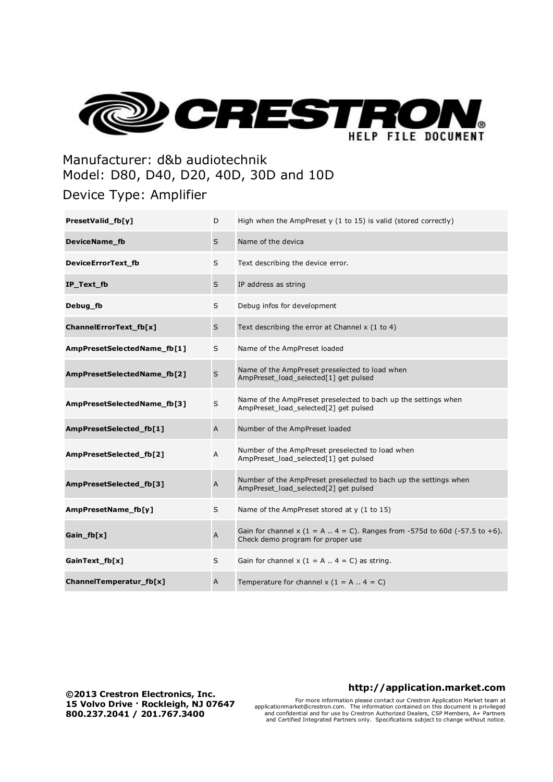

## Manufacturer: d&b audiotechnik Model: D80, D40, D20, 40D, 30D and 10D

### Device Type: Amplifier

| PresetValid_fb[y]           | D                         | High when the AmpPreset $y$ (1 to 15) is valid (stored correctly)                                                         |
|-----------------------------|---------------------------|---------------------------------------------------------------------------------------------------------------------------|
| DeviceName_fb               | S                         | Name of the devica                                                                                                        |
| DeviceErrorText_fb          | S                         | Text describing the device error.                                                                                         |
| IP_Text_fb                  | S                         | IP address as string                                                                                                      |
| Debug_fb                    | S                         | Debug infos for development                                                                                               |
| ChannelErrorText_fb[x]      | $\sf S$                   | Text describing the error at Channel $x$ (1 to 4)                                                                         |
| AmpPresetSelectedName_fb[1] | S                         | Name of the AmpPreset loaded                                                                                              |
| AmpPresetSelectedName_fb[2] | $\sf S$                   | Name of the AmpPreset preselected to load when<br>AmpPreset_load_selected[1] get pulsed                                   |
| AmpPresetSelectedName_fb[3] | $\sf S$                   | Name of the AmpPreset preselected to bach up the settings when<br>AmpPreset_load_selected[2] get pulsed                   |
| AmpPresetSelected_fb[1]     | $\overline{A}$            | Number of the AmpPreset loaded                                                                                            |
| AmpPresetSelected_fb[2]     | A                         | Number of the AmpPreset preselected to load when<br>AmpPreset_load_selected[1] get pulsed                                 |
| AmpPresetSelected_fb[3]     | $\boldsymbol{\mathsf{A}}$ | Number of the AmpPreset preselected to bach up the settings when<br>AmpPreset_load_selected[2] get pulsed                 |
| AmpPresetName_fb[y]         | S                         | Name of the AmpPreset stored at y (1 to 15)                                                                               |
| Gain_fb[x]                  | $\overline{A}$            | Gain for channel $x$ (1 = A $\ldots$ 4 = C). Ranges from -575d to 60d (-57.5 to +6).<br>Check demo program for proper use |
| GainText_fb[x]              | S                         | Gain for channel $x$ (1 = A  4 = C) as string.                                                                            |
| ChannelTemperatur_fb[x]     | A                         | Temperature for channel $x$ (1 = A  4 = C)                                                                                |

**©2013 Crestron Electronics, Inc. 15 Volvo Drive · Rockleigh, NJ 07647 800.237.2041 / 201.767.3400**

### **http://application.market.com**